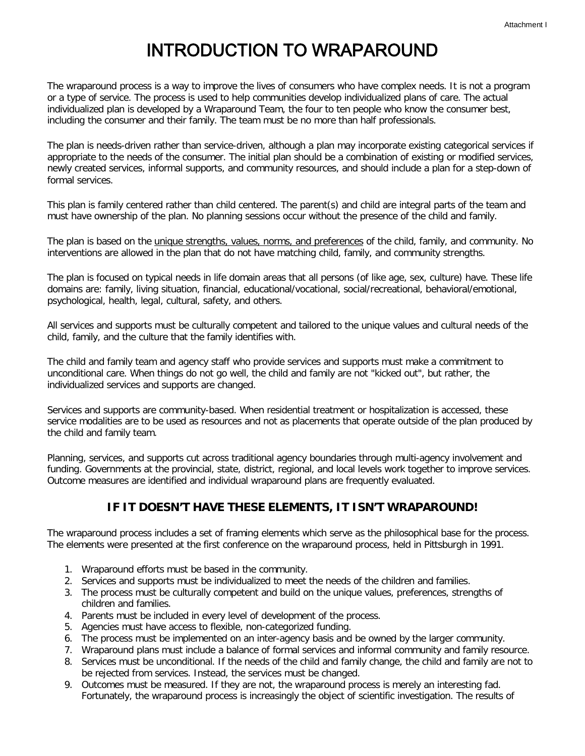## INTRODUCTION TO WRAPAROUND

The wraparound process is a way to improve the lives of consumers who have complex needs. It is not a program or a type of service. The process is used to help communities develop individualized plans of care. The actual individualized plan is developed by a Wraparound Team, the four to ten people who know the consumer best, including the consumer and their family. The team must be no more than half professionals.

The plan is needs-driven rather than service-driven, although a plan may incorporate existing categorical services if appropriate to the needs of the consumer. The initial plan should be a combination of existing or modified services, newly created services, informal supports, and community resources, and should include a plan for a step-down of formal services.

This plan is family centered rather than child centered. The parent(s) and child are integral parts of the team and must have ownership of the plan. No planning sessions occur without the presence of the child and family.

The plan is based on the *unique strengths, values, norms, and preferences* of the child, family, and community. No interventions are allowed in the plan that do not have matching child, family, and community strengths.

The plan is focused on typical needs in life domain areas that all persons (of like age, sex, culture) have. These life domains are: family, living situation, financial, educational/vocational, social/recreational, behavioral/emotional, psychological, health, legal, cultural, safety, and others.

All services and supports must be culturally competent and tailored to the unique values and cultural needs of the child, family, and the culture that the family identifies with.

The child and family team and agency staff who provide services and supports must make a commitment to unconditional care. When things do not go well, the child and family are not "kicked out", but rather, the individualized services and supports are changed.

Services and supports are community-based. When residential treatment or hospitalization is accessed, these service modalities are to be used as resources and not as placements that operate outside of the plan produced by the child and family team.

Planning, services, and supports cut across traditional agency boundaries through multi-agency involvement and funding. Governments at the provincial, state, district, regional, and local levels work together to improve services. Outcome measures are identified and individual wraparound plans are frequently evaluated.

## **IF IT DOESN'T HAVE THESE ELEMENTS, IT ISN'T WRAPAROUND!**

The wraparound process includes a set of framing elements which serve as the philosophical base for the process. The elements were presented at the first conference on the wraparound process, held in Pittsburgh in 1991.

- 1. Wraparound efforts must be based in the community.
- 2. Services and supports must be individualized to meet the needs of the children and families.
- 3. The process must be culturally competent and build on the unique values, preferences, strengths of children and families.
- 4. Parents must be included in every level of development of the process.
- 5. Agencies must have access to flexible, non-categorized funding.
- 6. The process must be implemented on an inter-agency basis and be owned by the larger community.
- 7. Wraparound plans must include a balance of formal services and informal community and family resource.
- 8. Services must be unconditional. If the needs of the child and family change, the child and family are not to be rejected from services. Instead, the services must be changed.
- 9. Outcomes must be measured. If they are not, the wraparound process is merely an interesting fad. Fortunately, the wraparound process is increasingly the object of scientific investigation. The results of